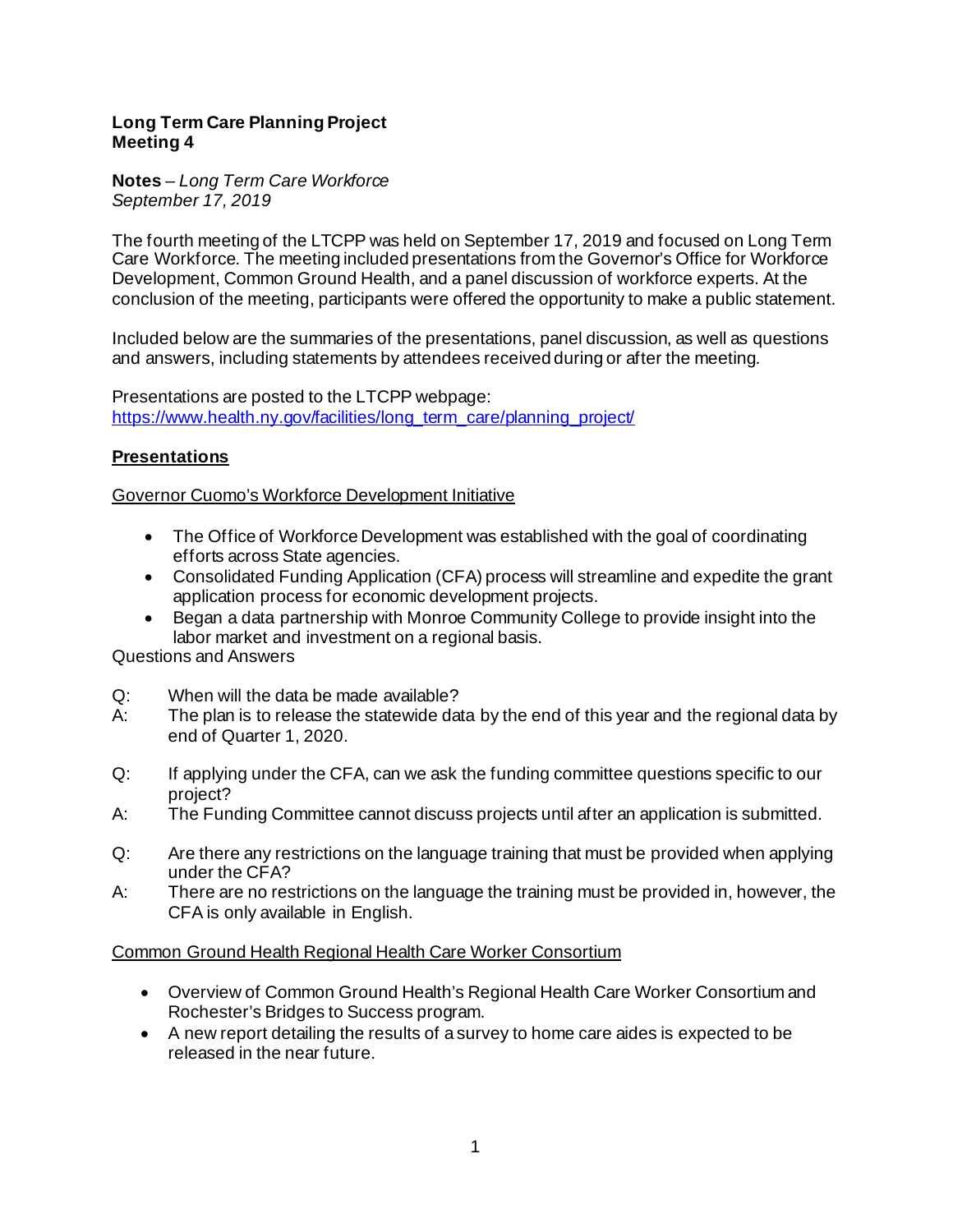### **Long Term Care Planning Project Meeting 4**

#### **Notes** *– Long Term Care Workforce September 17, 2019*

The fourth meeting of the LTCPP was held on September 17, 2019 and focused on Long Term Care Workforce. The meeting included presentations from the Governor's Office for Workforce Development, Common Ground Health, and a panel discussion of workforce experts. At the conclusion of the meeting, participants were offered the opportunity to make a public statement.

Included below are the summaries of the presentations, panel discussion, as well as questions and answers, including statements by attendees received during or after the meeting.

Presentations are posted to the LTCPP webpage: [https://www.health.ny.gov/facilities/long\\_term\\_care/planning\\_project/](https://www.health.ny.gov/facilities/long_term_care/planning_project/)

# **Presentations**

## Governor Cuomo's Workforce Development Initiative

- The Office of Workforce Development was established with the goal of coordinating efforts across State agencies.
- Consolidated Funding Application (CFA) process will streamline and expedite the grant application process for economic development projects.
- Began a data partnership with Monroe Community College to provide insight into the labor market and investment on a regional basis.

Questions and Answers

- Q: When will the data be made available?
- A: The plan is to release the statewide data by the end of this year and the regional data by end of Quarter 1, 2020.
- Q: If applying under the CFA, can we ask the funding committee questions specific to our project?
- A: The Funding Committee cannot discuss projects until after an application is submitted.
- Q: Are there any restrictions on the language training that must be provided when applying under the CFA?
- A: There are no restrictions on the language the training must be provided in, however, the CFA is only available in English.

## Common Ground Health Regional Health Care Worker Consortium

- Overview of Common Ground Health's Regional Health Care Worker Consortium and Rochester's Bridges to Success program.
- A new report detailing the results of a survey to home care aides is expected to be released in the near future.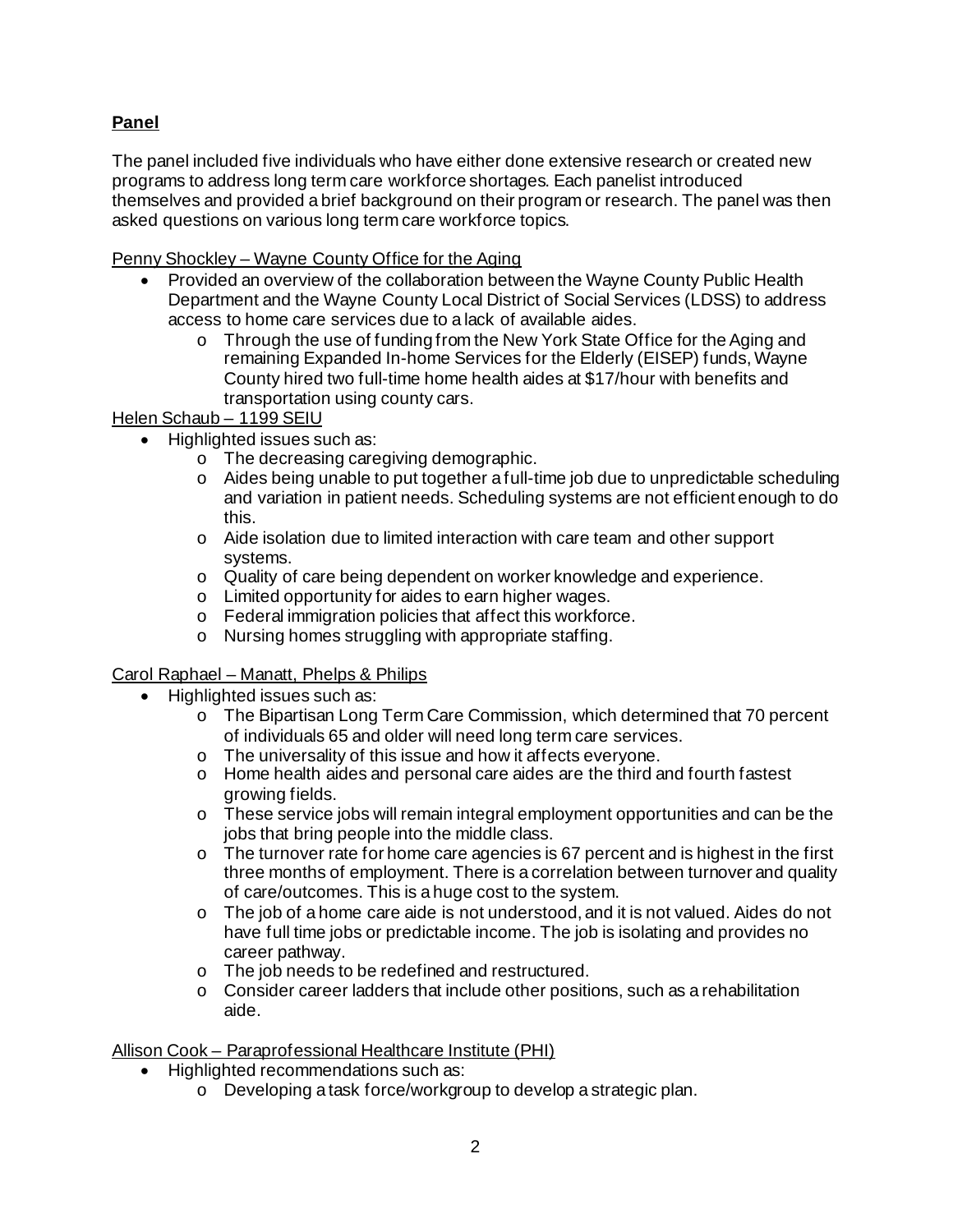# **Panel**

The panel included five individuals who have either done extensive research or created new programs to address long term care workforce shortages. Each panelist introduced themselves and provided a brief background on their program or research. The panel was then asked questions on various long term care workforce topics.

Penny Shockley – Wayne County Office for the Aging

- Provided an overview of the collaboration between the Wayne County Public Health Department and the Wayne County Local District of Social Services (LDSS) to address access to home care services due to a lack of available aides.
	- o Through the use of funding from the New York State Office for the Aging and remaining Expanded In-home Services for the Elderly (EISEP) funds, Wayne County hired two full-time home health aides at \$17/hour with benefits and transportation using county cars.

## Helen Schaub - 1199 SEIU

- Highlighted issues such as:
	- o The decreasing caregiving demographic.
	- o Aides being unable to put together a full-time job due to unpredictable scheduling and variation in patient needs. Scheduling systems are not efficient enough to do this.
	- o Aide isolation due to limited interaction with care team and other support systems.
	- o Quality of care being dependent on worker knowledge and experience.
	- o Limited opportunity for aides to earn higher wages.
	- o Federal immigration policies that affect this workforce.
	- o Nursing homes struggling with appropriate staffing.

## Carol Raphael – Manatt, Phelps & Philips

- Highlighted issues such as:
	- o The Bipartisan Long Term Care Commission, which determined that 70 percent of individuals 65 and older will need long term care services.
	- o The universality of this issue and how it affects everyone.
	- o Home health aides and personal care aides are the third and fourth fastest growing fields.
	- o These service jobs will remain integral employment opportunities and can be the jobs that bring people into the middle class.
	- $\circ$  The turnover rate for home care agencies is 67 percent and is highest in the first three months of employment. There is a correlation between turnover and quality of care/outcomes. This is a huge cost to the system.
	- $\circ$  The job of a home care aide is not understood, and it is not valued. Aides do not have full time jobs or predictable income. The job is isolating and provides no career pathway.
	- o The job needs to be redefined and restructured.
	- $\circ$  Consider career ladders that include other positions, such as a rehabilitation aide.

Allison Cook – Paraprofessional Healthcare Institute (PHI)

- Highlighted recommendations such as:
	- o Developing a task force/workgroup to develop a strategic plan.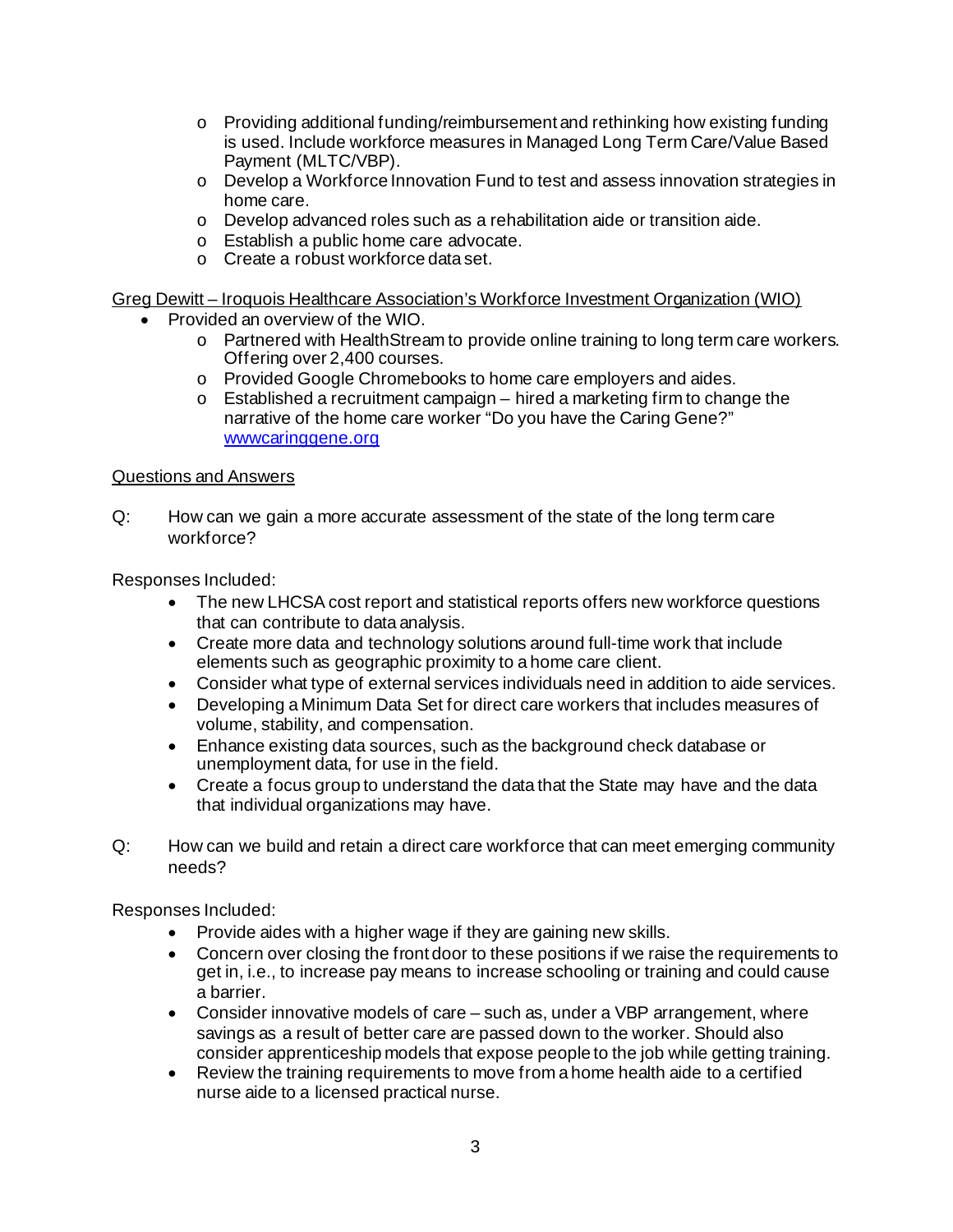- $\circ$  Providing additional funding/reimbursement and rethinking how existing funding is used. Include workforce measures in Managed Long Term Care/Value Based Payment (MLTC/VBP).
- o Develop a Workforce Innovation Fund to test and assess innovation strategies in home care.
- o Develop advanced roles such as a rehabilitation aide or transition aide.
- o Establish a public home care advocate.
- o Create a robust workforce data set.

Greg Dewitt – Iroquois Healthcare Association's Workforce Investment Organization (WIO)

- Provided an overview of the WIO.
	- o Partnered with HealthStream to provide online training to long term care workers. Offering over 2,400 courses.
	- o Provided Google Chromebooks to home care employers and aides.
	- o Established a recruitment campaign hired a marketing firm to change the narrative of the home care worker "Do you have the Caring Gene?" www.caringgene.org

### Questions and Answers

Q: How can we gain a more accurate assessment of the state of the long term care workforce?

Responses Included:

- The new LHCSA cost report and statistical reports offers new workforce questions that can contribute to data analysis.
- Create more data and technology solutions around full-time work that include elements such as geographic proximity to a home care client.
- Consider what type of external services individuals need in addition to aide services.
- Developing a Minimum Data Set for direct care workers that includes measures of volume, stability, and compensation.
- Enhance existing data sources, such as the background check database or unemployment data, for use in the field.
- Create a focus group to understand the data that the State may have and the data that individual organizations may have.
- Q: How can we build and retain a direct care workforce that can meet emerging community needs?

Responses Included:

- Provide aides with a higher wage if they are gaining new skills.
- Concern over closing the front door to these positions if we raise the requirements to get in, i.e., to increase pay means to increase schooling or training and could cause a barrier.
- Consider innovative models of care such as, under a VBP arrangement, where savings as a result of better care are passed down to the worker. Should also consider apprenticeship models that expose people to the job while getting training.
- Review the training requirements to move from a home health aide to a certified nurse aide to a licensed practical nurse.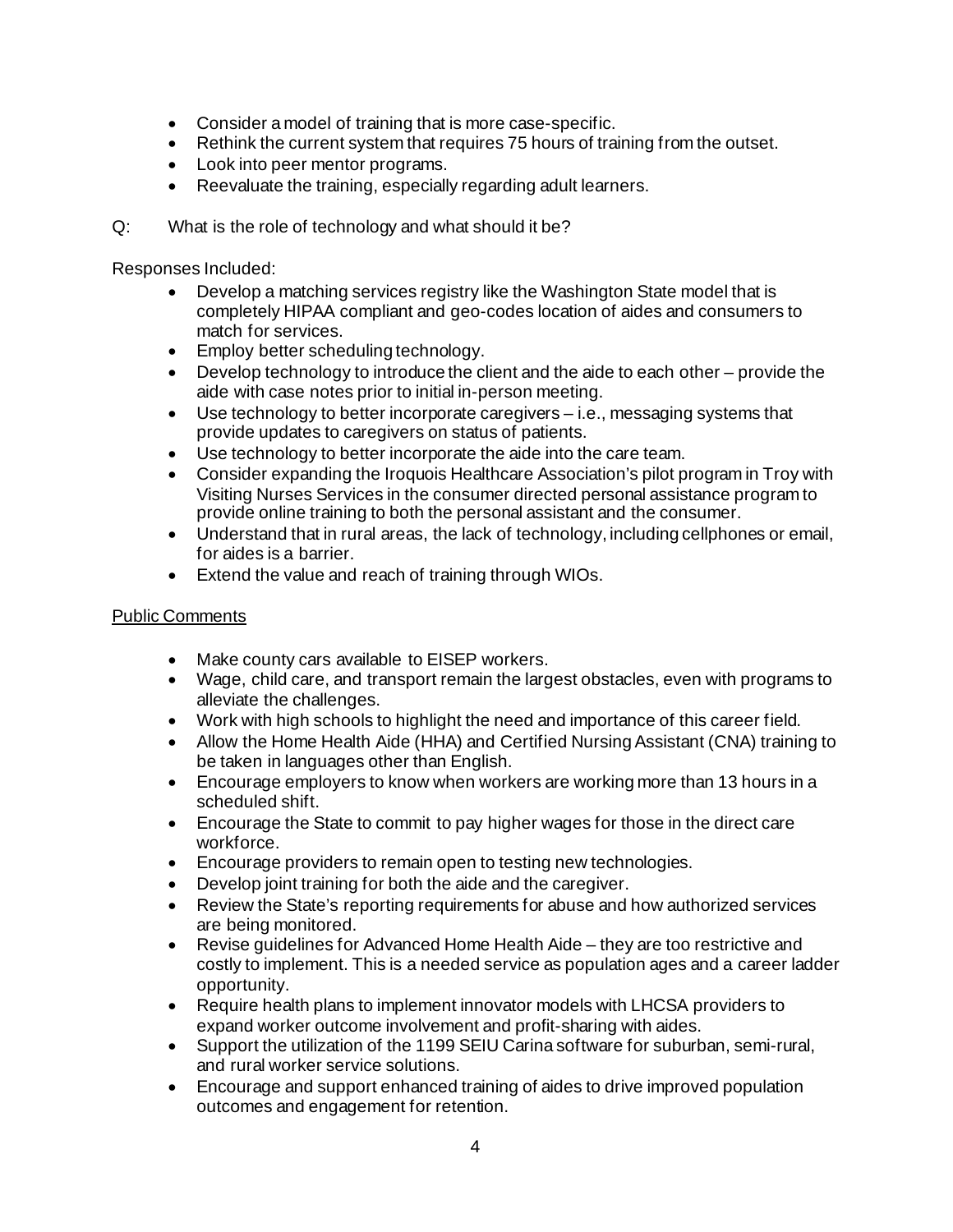- Consider a model of training that is more case-specific.
- Rethink the current system that requires 75 hours of training from the outset.
- Look into peer mentor programs.
- Reevaluate the training, especially regarding adult learners.
- Q: What is the role of technology and what should it be?

Responses Included:

- Develop a matching services registry like the Washington State model that is completely HIPAA compliant and geo-codes location of aides and consumers to match for services.
- Employ better scheduling technology.
- Develop technology to introduce the client and the aide to each other provide the aide with case notes prior to initial in-person meeting.
- Use technology to better incorporate caregivers i.e., messaging systems that provide updates to caregivers on status of patients.
- Use technology to better incorporate the aide into the care team.
- Consider expanding the Iroquois Healthcare Association's pilot program in Troy with Visiting Nurses Services in the consumer directed personal assistance program to provide online training to both the personal assistant and the consumer.
- Understand that in rural areas, the lack of technology, including cellphones or email, for aides is a barrier.
- Extend the value and reach of training through WIOs.

### Public Comments

- Make county cars available to EISEP workers.
- Wage, child care, and transport remain the largest obstacles, even with programs to alleviate the challenges.
- Work with high schools to highlight the need and importance of this career field.
- Allow the Home Health Aide (HHA) and Certified Nursing Assistant (CNA) training to be taken in languages other than English.
- Encourage employers to know when workers are working more than 13 hours in a scheduled shift.
- Encourage the State to commit to pay higher wages for those in the direct care workforce.
- Encourage providers to remain open to testing new technologies.
- Develop joint training for both the aide and the caregiver.
- Review the State's reporting requirements for abuse and how authorized services are being monitored.
- Revise guidelines for Advanced Home Health Aide they are too restrictive and costly to implement. This is a needed service as population ages and a career ladder opportunity.
- Require health plans to implement innovator models with LHCSA providers to expand worker outcome involvement and profit-sharing with aides.
- Support the utilization of the 1199 SEIU Carina software for suburban, semi-rural, and rural worker service solutions.
- Encourage and support enhanced training of aides to drive improved population outcomes and engagement for retention.